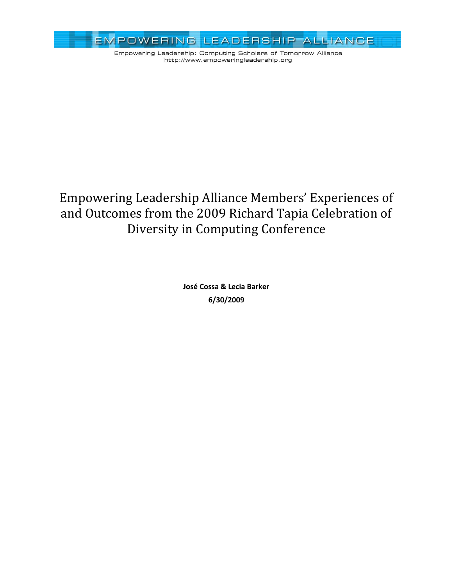

# Empowering Leadership Alliance Members' Experiences of and Outcomes from the 2009 Richard Tapia Celebration of Diversity in Computing Conference

**José Cossa & Lecia Barker 6/30/2009**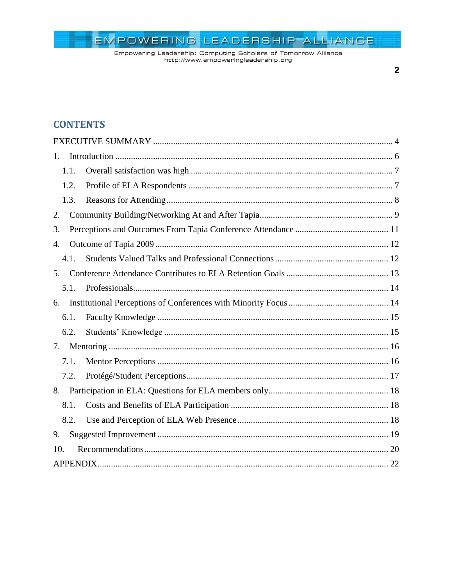Empowering Leadership: Computing Scholars of Tomorrow Alliance http://www.empoweringleadership.org

### $\overline{2}$

# **CONTENTS**

| 1.   |  |
|------|--|
| 1.1. |  |
| 1.2. |  |
| 1.3. |  |
| 2.   |  |
| 3.   |  |
| 4.   |  |
| 4.1. |  |
| 5.   |  |
| 5.1. |  |
| 6.   |  |
| 6.1. |  |
| 6.2. |  |
| 7.   |  |
| 7.1. |  |
| 7.2. |  |
|      |  |
| 8.1. |  |
| 8.2. |  |
| 9.   |  |
| 10.  |  |
|      |  |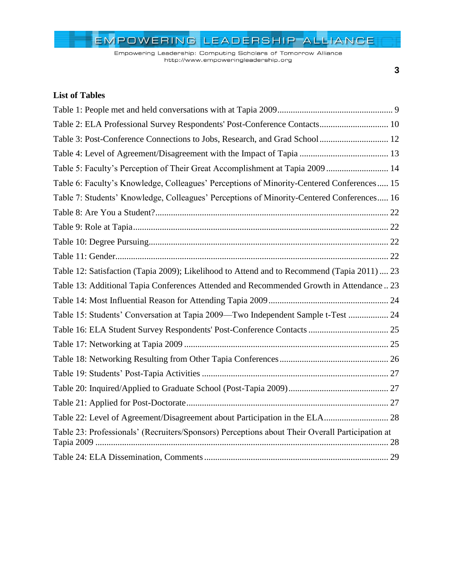Empowering Leadership: Computing Scholars of Tomorrow Alliance http://www.empoweringleadership.org

## **List of Tables**

| Table 2: ELA Professional Survey Respondents' Post-Conference Contacts 10                       |  |
|-------------------------------------------------------------------------------------------------|--|
| Table 3: Post-Conference Connections to Jobs, Research, and Grad School  12                     |  |
|                                                                                                 |  |
| Table 5: Faculty's Perception of Their Great Accomplishment at Tapia 2009  14                   |  |
| Table 6: Faculty's Knowledge, Colleagues' Perceptions of Minority-Centered Conferences 15       |  |
| Table 7: Students' Knowledge, Colleagues' Perceptions of Minority-Centered Conferences 16       |  |
|                                                                                                 |  |
|                                                                                                 |  |
|                                                                                                 |  |
|                                                                                                 |  |
| Table 12: Satisfaction (Tapia 2009); Likelihood to Attend and to Recommend (Tapia 2011)  23     |  |
| Table 13: Additional Tapia Conferences Attended and Recommended Growth in Attendance 23         |  |
|                                                                                                 |  |
| Table 15: Students' Conversation at Tapia 2009-Two Independent Sample t-Test  24                |  |
|                                                                                                 |  |
|                                                                                                 |  |
|                                                                                                 |  |
|                                                                                                 |  |
|                                                                                                 |  |
|                                                                                                 |  |
| Table 22: Level of Agreement/Disagreement about Participation in the ELA 28                     |  |
| Table 23: Professionals' (Recruiters/Sponsors) Perceptions about Their Overall Participation at |  |
|                                                                                                 |  |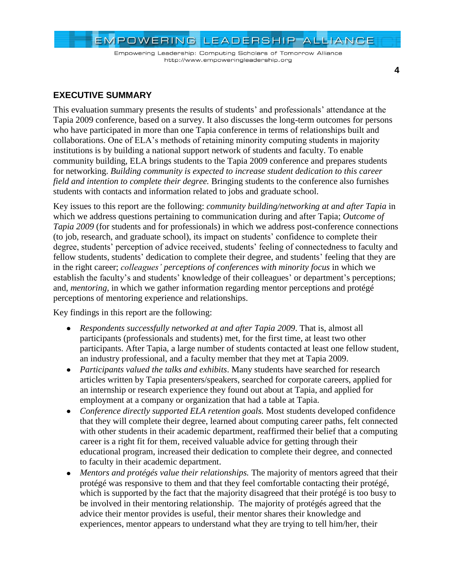

### **EXECUTIVE SUMMARY**

This evaluation summary presents the results of students" and professionals" attendance at the Tapia 2009 conference, based on a survey. It also discusses the long-term outcomes for persons who have participated in more than one Tapia conference in terms of relationships built and collaborations. One of ELA"s methods of retaining minority computing students in majority institutions is by building a national support network of students and faculty. To enable community building, ELA brings students to the Tapia 2009 conference and prepares students for networking. *Building community is expected to increase student dedication to this career field and intention to complete their degree.* Bringing students to the conference also furnishes students with contacts and information related to jobs and graduate school.

Key issues to this report are the following: *community building/networking at and after Tapia* in which we address questions pertaining to communication during and after Tapia; *Outcome of Tapia 2009* (for students and for professionals) in which we address post-conference connections (to job, research, and graduate school), its impact on students" confidence to complete their degree, students' perception of advice received, students' feeling of connectedness to faculty and fellow students, students' dedication to complete their degree, and students' feeling that they are in the right career; *colleagues' perceptions of conferences with minority focus* in which we establish the faculty's and students' knowledge of their colleagues' or department's perceptions; and, *mentoring,* in which we gather information regarding mentor perceptions and protégé perceptions of mentoring experience and relationships.

Key findings in this report are the following:

- *Respondents successfully networked at and after Tapia 2009*. That is, almost all participants (professionals and students) met, for the first time, at least two other participants. After Tapia, a large number of students contacted at least one fellow student, an industry professional, and a faculty member that they met at Tapia 2009.
- *Participants valued the talks and exhibits*. Many students have searched for research articles written by Tapia presenters/speakers, searched for corporate careers, applied for an internship or research experience they found out about at Tapia, and applied for employment at a company or organization that had a table at Tapia.
- *Conference directly supported ELA retention goals.* Most students developed confidence that they will complete their degree, learned about computing career paths, felt connected with other students in their academic department, reaffirmed their belief that a computing career is a right fit for them, received valuable advice for getting through their educational program, increased their dedication to complete their degree, and connected to faculty in their academic department.
- *Mentors and protégés value their relationships.* The majority of mentors agreed that their  $\bullet$ protégé was responsive to them and that they feel comfortable contacting their protégé, which is supported by the fact that the majority disagreed that their protégé is too busy to be involved in their mentoring relationship. The majority of protégés agreed that the advice their mentor provides is useful, their mentor shares their knowledge and experiences, mentor appears to understand what they are trying to tell him/her, their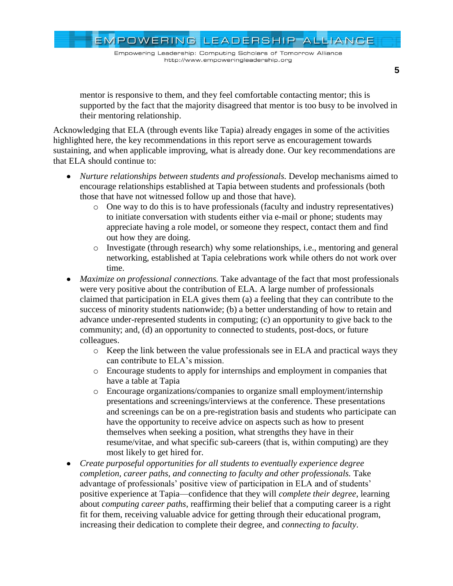Empowering Leadership: Computing Scholars of Tomorrow Alliance http://www.empoweringleadership.org

mentor is responsive to them, and they feel comfortable contacting mentor; this is supported by the fact that the majority disagreed that mentor is too busy to be involved in their mentoring relationship.

Acknowledging that ELA (through events like Tapia) already engages in some of the activities highlighted here, the key recommendations in this report serve as encouragement towards sustaining, and when applicable improving, what is already done. Our key recommendations are that ELA should continue to:

- *Nurture relationships between students and professionals.* Develop mechanisms aimed to encourage relationships established at Tapia between students and professionals (both those that have not witnessed follow up and those that have).
	- o One way to do this is to have professionals (faculty and industry representatives) to initiate conversation with students either via e-mail or phone; students may appreciate having a role model, or someone they respect, contact them and find out how they are doing.
	- o Investigate (through research) why some relationships, i.e., mentoring and general networking, established at Tapia celebrations work while others do not work over time.
- *Maximize on professional connections.* Take advantage of the fact that most professionals  $\bullet$ were very positive about the contribution of ELA. A large number of professionals claimed that participation in ELA gives them (a) a feeling that they can contribute to the success of minority students nationwide; (b) a better understanding of how to retain and advance under-represented students in computing; (c) an opportunity to give back to the community; and, (d) an opportunity to connected to students, post-docs, or future colleagues.
	- o Keep the link between the value professionals see in ELA and practical ways they can contribute to ELA"s mission.
	- o Encourage students to apply for internships and employment in companies that have a table at Tapia
	- o Encourage organizations/companies to organize small employment/internship presentations and screenings/interviews at the conference. These presentations and screenings can be on a pre-registration basis and students who participate can have the opportunity to receive advice on aspects such as how to present themselves when seeking a position, what strengths they have in their resume/vitae, and what specific sub-careers (that is, within computing) are they most likely to get hired for.
- *Create purposeful opportunities for all students to eventually experience degree completion, career paths, and connecting to faculty and other professionals.* Take advantage of professionals' positive view of participation in ELA and of students' positive experience at Tapia—confidence that they will *complete their degree*, learning about *computing career paths*, reaffirming their belief that a computing career is a right fit for them, receiving valuable advice for getting through their educational program, increasing their dedication to complete their degree, and *connecting to faculty*.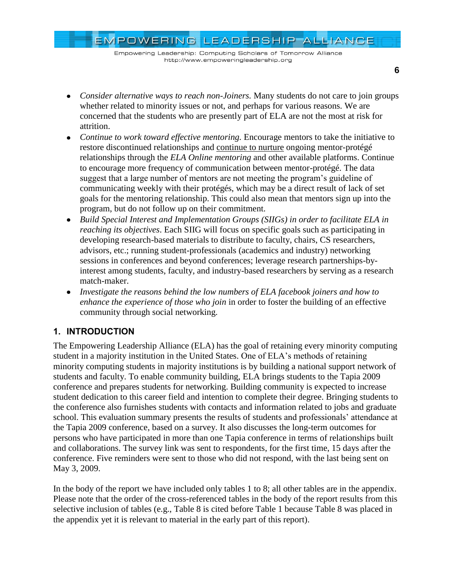EMPOWERING LEADERSHIP ALLIANCE

- Consider alternative ways to reach non-Joiners. Many students do not care to join groups whether related to minority issues or not, and perhaps for various reasons. We are concerned that the students who are presently part of ELA are not the most at risk for attrition.
- *Continue to work toward effective mentoring.* Encourage mentors to take the initiative to  $\bullet$ restore discontinued relationships and continue to nurture ongoing mentor-protégé relationships through the *ELA Online mentoring* and other available platforms. Continue to encourage more frequency of communication between mentor-protégé. The data suggest that a large number of mentors are not meeting the program"s guideline of communicating weekly with their protégés, which may be a direct result of lack of set goals for the mentoring relationship. This could also mean that mentors sign up into the program, but do not follow up on their commitment.
- *Build Special Interest and Implementation Groups (SIIGs) in order to facilitate ELA in reaching its objectives*. Each SIIG will focus on specific goals such as participating in developing research-based materials to distribute to faculty, chairs, CS researchers, advisors, etc.; running student-professionals (academics and industry) networking sessions in conferences and beyond conferences; leverage research partnerships-byinterest among students, faculty, and industry-based researchers by serving as a research match-maker.
- *Investigate the reasons behind the low numbers of ELA facebook joiners and how to enhance the experience of those who join* in order to foster the building of an effective community through social networking.

## **1. INTRODUCTION**

The Empowering Leadership Alliance (ELA) has the goal of retaining every minority computing student in a majority institution in the United States. One of ELA"s methods of retaining minority computing students in majority institutions is by building a national support network of students and faculty. To enable community building, ELA brings students to the Tapia 2009 conference and prepares students for networking. Building community is expected to increase student dedication to this career field and intention to complete their degree. Bringing students to the conference also furnishes students with contacts and information related to jobs and graduate school. This evaluation summary presents the results of students and professionals' attendance at the Tapia 2009 conference, based on a survey. It also discusses the long-term outcomes for persons who have participated in more than one Tapia conference in terms of relationships built and collaborations. The survey link was sent to respondents, for the first time, 15 days after the conference. Five reminders were sent to those who did not respond, with the last being sent on May 3, 2009.

In the body of the report we have included only tables 1 to 8; all other tables are in the appendix. Please note that the order of the cross-referenced tables in the body of the report results from this selective inclusion of tables (e.g., Table 8 is cited before Table 1 because Table 8 was placed in the appendix yet it is relevant to material in the early part of this report).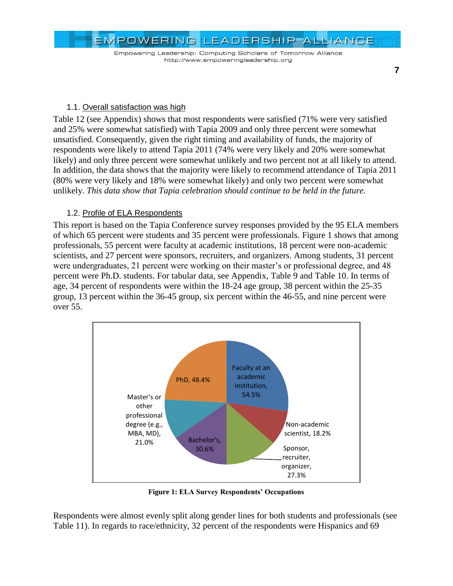Empowering Leadership: Computing Scholars of Tomorrow Alliance http://www.empoweringleadership.org

**7**

### 1.1. Overall satisfaction was high

[Table 12](#page-22-0) (see Appendix) shows that most respondents were satisfied (71% were very satisfied and 25% were somewhat satisfied) with Tapia 2009 and only three percent were somewhat unsatisfied. Consequently, given the right timing and availability of funds, the majority of respondents were likely to attend Tapia 2011 (74% were very likely and 20% were somewhat likely) and only three percent were somewhat unlikely and two percent not at all likely to attend. In addition, the data shows that the majority were likely to recommend attendance of Tapia 2011 (80% were very likely and 18% were somewhat likely) and only two percent were somewhat unlikely. *This data show that Tapia celebration should continue to be held in the future.*

### 1.2. Profile of ELA Respondents

This report is based on the Tapia Conference survey responses provided by the 95 ELA members of which 65 percent were students and 35 percent were professionals. [Figure 1](#page-6-0) shows that among professionals, 55 percent were faculty at academic institutions, 18 percent were non-academic scientists, and 27 percent were sponsors, recruiters, and organizers. Among students, 31 percent were undergraduates, 21 percent were working on their master's or professional degree, and 48 percent were Ph.D. students. For tabular data, see Appendix, [Table 9](#page-21-0) and [Table 10.](#page-21-1) In terms of age, 34 percent of respondents were within the 18-24 age group, 38 percent within the 25-35 group, 13 percent within the 36-45 group, six percent within the 46-55, and nine percent were over 55.



**Figure 1: ELA Survey Respondents' Occupations**

<span id="page-6-0"></span>Respondents were almost evenly split along gender lines for both students and professionals (see [Table 11\)](#page-21-2). In regards to race/ethnicity, 32 percent of the respondents were Hispanics and 69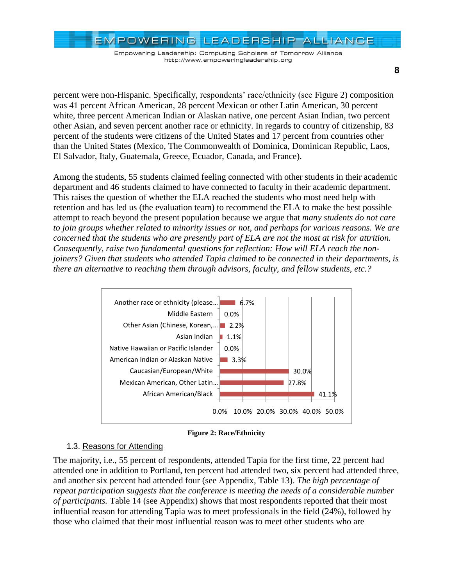EMPOWERING LEADERSHIP ALLIANCE

**8**

percent were non-Hispanic. Specifically, respondents" race/ethnicity (see [Figure 2\)](#page-7-0) composition was 41 percent African American, 28 percent Mexican or other Latin American, 30 percent white, three percent American Indian or Alaskan native, one percent Asian Indian, two percent other Asian, and seven percent another race or ethnicity. In regards to country of citizenship, 83 percent of the students were citizens of the United States and 17 percent from countries other than the United States (Mexico, The Commonwealth of Dominica, Dominican Republic, Laos, El Salvador, Italy, Guatemala, Greece, Ecuador, Canada, and France).

Among the students, 55 students claimed feeling connected with other students in their academic department and 46 students claimed to have connected to faculty in their academic department. This raises the question of whether the ELA reached the students who most need help with retention and has led us (the evaluation team) to recommend the ELA to make the best possible attempt to reach beyond the present population because we argue that *many students do not care to join groups whether related to minority issues or not, and perhaps for various reasons. We are concerned that the students who are presently part of ELA are not the most at risk for attrition. Consequently, raise two fundamental questions for reflection: How will ELA reach the nonjoiners? Given that students who attended Tapia claimed to be connected in their departments, is there an alternative to reaching them through advisors, faculty, and fellow students, etc.?*



**Figure 2: Race/Ethnicity**

### <span id="page-7-0"></span>1.3. Reasons for Attending

The majority, i.e., 55 percent of respondents, attended Tapia for the first time, 22 percent had attended one in addition to Portland, ten percent had attended two, six percent had attended three, and another six percent had attended four (see Appendix, [Table 13\)](#page-22-1). *The high percentage of repeat participation suggests that the conference is meeting the needs of a considerable number of participants.* [Table 14](#page-23-0) (see Appendix) shows that most respondents reported that their most influential reason for attending Tapia was to meet professionals in the field (24%), followed by those who claimed that their most influential reason was to meet other students who are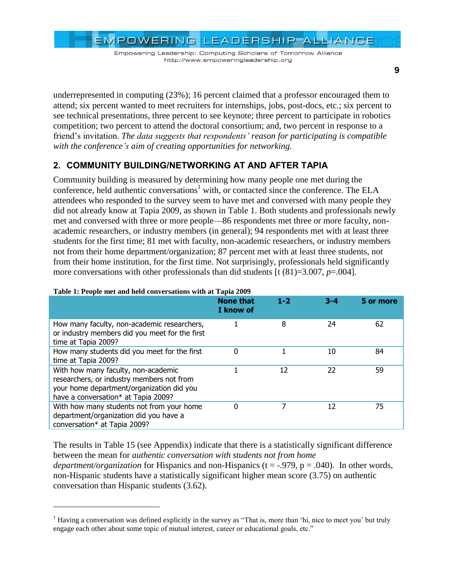EMPOWERING LEADERSHIP ALLIANCE

**9**

underrepresented in computing (23%); 16 percent claimed that a professor encouraged them to attend; six percent wanted to meet recruiters for internships, jobs, post-docs, etc.; six percent to see technical presentations, three percent to see keynote; three percent to participate in robotics competition; two percent to attend the doctoral consortium; and, two percent in response to a friend"s invitation. *The data suggests that respondents' reason for participating is compatible with the conference's aim of creating opportunities for networking.*

# **2. COMMUNITY BUILDING/NETWORKING AT AND AFTER TAPIA**

Community building is measured by determining how many people one met during the conference, held authentic conversations<sup>1</sup> with, or contacted since the conference. The ELA attendees who responded to the survey seem to have met and conversed with many people they did not already know at Tapia 2009, as shown in [Table 1.](#page-8-0) Both students and professionals newly met and conversed with three or more people—86 respondents met three or more faculty, nonacademic researchers, or industry members (in general); 94 respondents met with at least three students for the first time; 81 met with faculty, non-academic researchers, or industry members not from their home department/organization; 87 percent met with at least three students, not from their home institution, for the first time. Not surprisingly, professionals held significantly more conversations with other professionals than did students [t (81)=3.007, *p*=.004].

|                                                                                                                                                                      | <b>None that</b><br>I know of | $1 - 2$ | $3 - 4$ | 5 or more |
|----------------------------------------------------------------------------------------------------------------------------------------------------------------------|-------------------------------|---------|---------|-----------|
| How many faculty, non-academic researchers,<br>or industry members did you meet for the first<br>time at Tapia 2009?                                                 |                               | 8       | 24      | 62        |
| How many students did you meet for the first<br>time at Tapia 2009?                                                                                                  | 0                             |         | 10      | 84        |
| With how many faculty, non-academic<br>researchers, or industry members not from<br>your home department/organization did you<br>have a conversation* at Tapia 2009? |                               | 12      | 22      | 59        |
| With how many students not from your home<br>department/organization did you have a<br>conversation* at Tapia 2009?                                                  | 0                             |         | 12      | 75        |

### <span id="page-8-0"></span>**Table 1: People met and held conversations with at Tapia 2009**

 $\overline{a}$ 

The results in [Table 15](#page-23-1) (see Appendix) indicate that there is a statistically significant difference between the mean for *authentic conversation with students not from home department/organization* for Hispanics and non-Hispanics (t = -.979, p = .040). In other words, non-Hispanic students have a statistically significant higher mean score (3.75) on authentic conversation than Hispanic students (3.62).

<sup>&</sup>lt;sup>1</sup> Having a conversation was defined explicitly in the survey as "That is, more than 'hi, nice to meet you' but truly engage each other about some topic of mutual interest, career or educational goals, etc."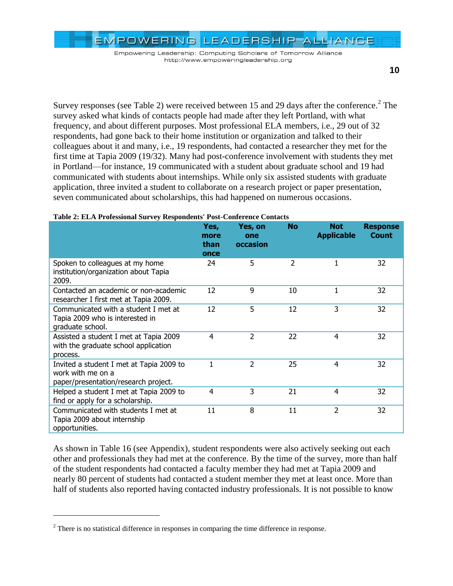Empowering Leadership: Computing Scholars of Tomorrow Alliance http://www.empoweringleadership.org

Survey responses (see [Table 2\)](#page-9-0) were received between 15 and 29 days after the conference.<sup>2</sup> The survey asked what kinds of contacts people had made after they left Portland, with what frequency, and about different purposes. Most professional ELA members, i.e., 29 out of 32 respondents, had gone back to their home institution or organization and talked to their colleagues about it and many, i.e., 19 respondents, had contacted a researcher they met for the first time at Tapia 2009 (19/32). Many had post-conference involvement with students they met in Portland—for instance, 19 communicated with a student about graduate school and 19 had communicated with students about internships. While only six assisted students with graduate application, three invited a student to collaborate on a research project or paper presentation, seven communicated about scholarships, this had happened on numerous occasions.

|                                                                                                       | Yes,<br>more<br>than<br>once | Yes, on<br>one<br>occasion | <b>No</b>      | <b>Not</b><br><b>Applicable</b> | <b>Response</b><br>Count |
|-------------------------------------------------------------------------------------------------------|------------------------------|----------------------------|----------------|---------------------------------|--------------------------|
| Spoken to colleagues at my home<br>institution/organization about Tapia<br>2009.                      | 24                           | 5                          | $\overline{2}$ | 1                               | 32                       |
| Contacted an academic or non-academic<br>researcher I first met at Tapia 2009.                        | 12                           | 9                          | 10             | 1                               | 32                       |
| Communicated with a student I met at<br>Tapia 2009 who is interested in<br>graduate school.           | 12                           | 5                          | 12             | 3                               | 32                       |
| Assisted a student I met at Tapia 2009<br>with the graduate school application<br>process.            | 4                            | $\overline{2}$             | 22             | 4                               | 32                       |
| Invited a student I met at Tapia 2009 to<br>work with me on a<br>paper/presentation/research project. | 1                            | $\overline{2}$             | 25             | 4                               | 32                       |
| Helped a student I met at Tapia 2009 to<br>find or apply for a scholarship.                           | 4                            | 3                          | 21             | 4                               | 32                       |
| Communicated with students I met at<br>Tapia 2009 about internship<br>opportunities.                  | 11                           | 8                          | 11             | $\overline{2}$                  | 32                       |

#### <span id="page-9-0"></span>**Table 2: ELA Professional Survey Respondents' Post-Conference Contacts**

As shown in [Table 16](#page-24-0) (see Appendix), student respondents were also actively seeking out each other and professionals they had met at the conference. By the time of the survey, more than half of the student respondents had contacted a faculty member they had met at Tapia 2009 and nearly 80 percent of students had contacted a student member they met at least once. More than half of students also reported having contacted industry professionals. It is not possible to know

 $\overline{a}$ 

 $2$  There is no statistical difference in responses in comparing the time difference in response.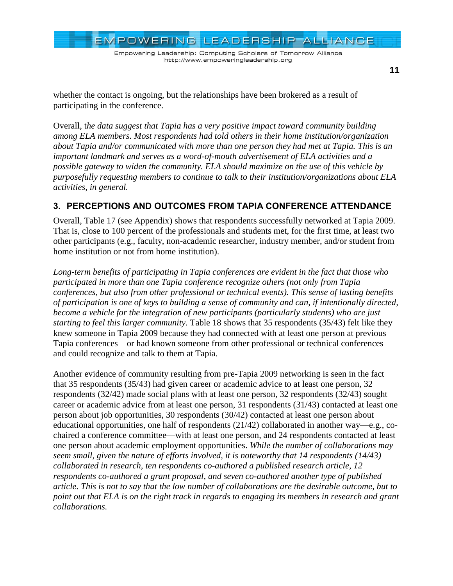EMPOWERING LEADERSHIP ALLIANCE Empowering Leadership: Computing Scholars of Tomorrow Alliance http://www.empoweringleadership.org

**11**

whether the contact is ongoing, but the relationships have been brokered as a result of participating in the conference.

Overall, t*he data suggest that Tapia has a very positive impact toward community building among ELA members. Most respondents had told others in their home institution/organization about Tapia and/or communicated with more than one person they had met at Tapia. This is an important landmark and serves as a word-of-mouth advertisement of ELA activities and a possible gateway to widen the community. ELA should maximize on the use of this vehicle by purposefully requesting members to continue to talk to their institution/organizations about ELA activities, in general.*

# **3. PERCEPTIONS AND OUTCOMES FROM TAPIA CONFERENCE ATTENDANCE**

Overall, [Table 17](#page-24-1) (see Appendix) shows that respondents successfully networked at Tapia 2009. That is, close to 100 percent of the professionals and students met, for the first time, at least two other participants (e.g., faculty, non-academic researcher, industry member, and/or student from home institution or not from home institution).

*Long-term benefits of participating in Tapia conferences are evident in the fact that those who participated in more than one Tapia conference recognize others (not only from Tapia conferences, but also from other professional or technical events). This sense of lasting benefits of participation is one of keys to building a sense of community and can, if intentionally directed, become a vehicle for the integration of new participants (particularly students) who are just starting to feel this larger community.* [Table 18](#page-25-0) shows that 35 respondents (35/43) felt like they knew someone in Tapia 2009 because they had connected with at least one person at previous Tapia conferences—or had known someone from other professional or technical conferences and could recognize and talk to them at Tapia.

Another evidence of community resulting from pre-Tapia 2009 networking is seen in the fact that 35 respondents (35/43) had given career or academic advice to at least one person, 32 respondents (32/42) made social plans with at least one person, 32 respondents (32/43) sought career or academic advice from at least one person, 31 respondents (31/43) contacted at least one person about job opportunities, 30 respondents (30/42) contacted at least one person about educational opportunities, one half of respondents (21/42) collaborated in another way—e.g., cochaired a conference committee—with at least one person, and 24 respondents contacted at least one person about academic employment opportunities. *While the number of collaborations may seem small, given the nature of efforts involved, it is noteworthy that 14 respondents (14/43) collaborated in research, ten respondents co-authored a published research article, 12 respondents co-authored a grant proposal, and seven co-authored another type of published article. This is not to say that the low number of collaborations are the desirable outcome, but to point out that ELA is on the right track in regards to engaging its members in research and grant collaborations.*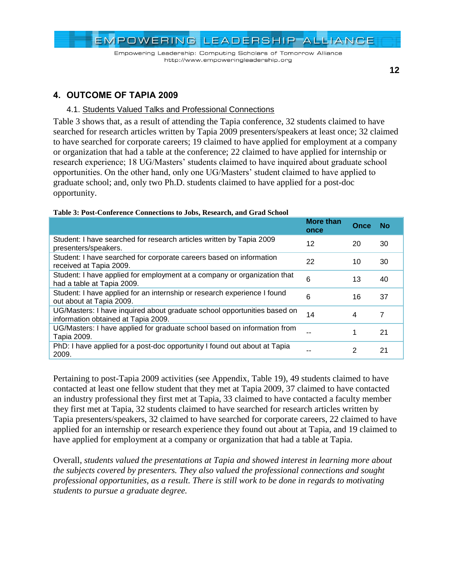

### **12**

## **4. OUTCOME OF TAPIA 2009**

### 4.1. Students Valued Talks and Professional Connections

[Table 3](#page-11-0) shows that, as a result of attending the Tapia conference, 32 students claimed to have searched for research articles written by Tapia 2009 presenters/speakers at least once; 32 claimed to have searched for corporate careers; 19 claimed to have applied for employment at a company or organization that had a table at the conference; 22 claimed to have applied for internship or research experience; 18 UG/Masters' students claimed to have inquired about graduate school opportunities. On the other hand, only one UG/Masters" student claimed to have applied to graduate school; and, only two Ph.D. students claimed to have applied for a post-doc opportunity.

|                                                                                                                 | <b>More than</b><br>once | Once | No |
|-----------------------------------------------------------------------------------------------------------------|--------------------------|------|----|
| Student: I have searched for research articles written by Tapia 2009<br>presenters/speakers.                    | 12                       | 20   | 30 |
| Student: I have searched for corporate careers based on information<br>received at Tapia 2009.                  | 22                       | 10   | 30 |
| Student: I have applied for employment at a company or organization that<br>had a table at Tapia 2009.          | 6                        | 13   | 40 |
| Student: I have applied for an internship or research experience I found<br>out about at Tapia 2009.            | 6                        | 16   | 37 |
| UG/Masters: I have inquired about graduate school opportunities based on<br>information obtained at Tapia 2009. | 14                       | 4    | 7  |
| UG/Masters: I have applied for graduate school based on information from<br>Tapia 2009.                         |                          |      | 21 |
| PhD: I have applied for a post-doc opportunity I found out about at Tapia<br>2009.                              |                          | 2    | 21 |

### <span id="page-11-0"></span>**Table 3: Post-Conference Connections to Jobs, Research, and Grad School**

Pertaining to post-Tapia 2009 activities (see Appendix, [Table 19\)](#page-26-0), 49 students claimed to have contacted at least one fellow student that they met at Tapia 2009, 37 claimed to have contacted an industry professional they first met at Tapia, 33 claimed to have contacted a faculty member they first met at Tapia, 32 students claimed to have searched for research articles written by Tapia presenters/speakers, 32 claimed to have searched for corporate careers, 22 claimed to have applied for an internship or research experience they found out about at Tapia, and 19 claimed to have applied for employment at a company or organization that had a table at Tapia.

Overall, *students valued the presentations at Tapia and showed interest in learning more about the subjects covered by presenters. They also valued the professional connections and sought professional opportunities, as a result. There is still work to be done in regards to motivating students to pursue a graduate degree.*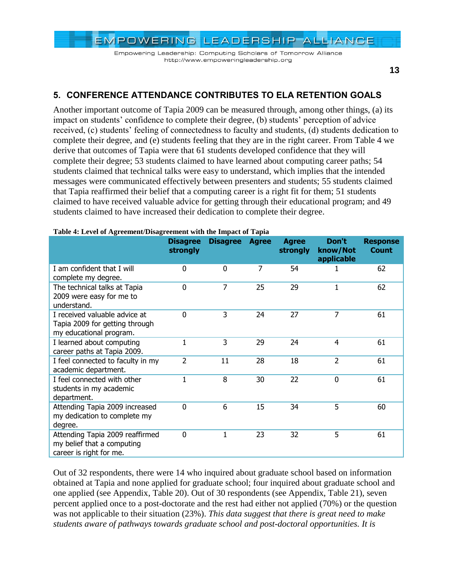Empowering Leadership: Computing Scholars of Tomorrow Alliance http://www.empoweringleadership.org

**13**

# **5. CONFERENCE ATTENDANCE CONTRIBUTES TO ELA RETENTION GOALS**

Another important outcome of Tapia 2009 can be measured through, among other things, (a) its impact on students' confidence to complete their degree, (b) students' perception of advice received, (c) students" feeling of connectedness to faculty and students, (d) students dedication to complete their degree, and (e) students feeling that they are in the right career. From [Table 4](#page-12-0) we derive that outcomes of Tapia were that 61 students developed confidence that they will complete their degree; 53 students claimed to have learned about computing career paths; 54 students claimed that technical talks were easy to understand, which implies that the intended messages were communicated effectively between presenters and students; 55 students claimed that Tapia reaffirmed their belief that a computing career is a right fit for them; 51 students claimed to have received valuable advice for getting through their educational program; and 49 students claimed to have increased their dedication to complete their degree.

|                                                                                            | <b>Disagree</b><br>strongly | <b>Disagree</b> | <b>Agree</b> | <b>Agree</b><br>strongly | Don't<br>know/Not<br>applicable | <b>Response</b><br><b>Count</b> |
|--------------------------------------------------------------------------------------------|-----------------------------|-----------------|--------------|--------------------------|---------------------------------|---------------------------------|
| I am confident that I will<br>complete my degree.                                          | 0                           | $\mathbf{0}$    | 7            | 54                       | 1                               | 62                              |
| The technical talks at Tapia<br>2009 were easy for me to<br>understand.                    | 0                           | $\overline{7}$  | 25           | 29                       | 1                               | 62                              |
| I received valuable advice at<br>Tapia 2009 for getting through<br>my educational program. | 0                           | 3               | 24           | 27                       | 7                               | 61                              |
| I learned about computing<br>career paths at Tapia 2009.                                   | $\mathbf{1}$                | 3               | 29           | 24                       | 4                               | 61                              |
| I feel connected to faculty in my<br>academic department.                                  | $\overline{2}$              | 11              | 28           | 18                       | 2                               | 61                              |
| I feel connected with other<br>students in my academic<br>department.                      | $\mathbf{1}$                | 8               | 30           | 22                       | $\mathbf{0}$                    | 61                              |
| Attending Tapia 2009 increased<br>my dedication to complete my<br>degree.                  | $\mathbf 0$                 | 6               | 15           | 34                       | 5                               | 60                              |
| Attending Tapia 2009 reaffirmed<br>my belief that a computing<br>career is right for me.   | 0                           |                 | 23           | 32                       | 5                               | 61                              |

#### <span id="page-12-0"></span>**Table 4: Level of Agreement/Disagreement with the Impact of Tapia**

Out of 32 respondents, there were 14 who inquired about graduate school based on information obtained at Tapia and none applied for graduate school; four inquired about graduate school and one applied (see Appendix, [Table 20\)](#page-26-1). Out of 30 respondents (see Appendix, [Table 21\)](#page-26-2), seven percent applied once to a post-doctorate and the rest had either not applied (70%) or the question was not applicable to their situation (23%). *This data suggest that there is great need to make students aware of pathways towards graduate school and post-doctoral opportunities. It is*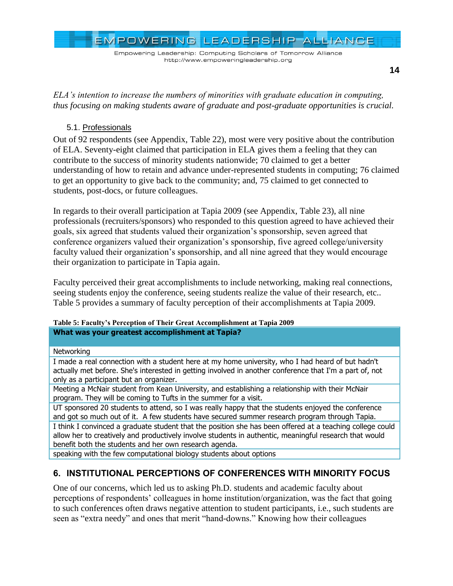Empowering Leadership: Computing Scholars of Tomorrow Alliance http://www.empoweringleadership.org

*ELA's intention to increase the numbers of minorities with graduate education in computing, thus focusing on making students aware of graduate and post-graduate opportunities is crucial.*

### 5.1. Professionals

Out of 92 respondents (see Appendix, [Table 22\)](#page-27-0), most were very positive about the contribution of ELA. Seventy-eight claimed that participation in ELA gives them a feeling that they can contribute to the success of minority students nationwide; 70 claimed to get a better understanding of how to retain and advance under-represented students in computing; 76 claimed to get an opportunity to give back to the community; and, 75 claimed to get connected to students, post-docs, or future colleagues.

In regards to their overall participation at Tapia 2009 (see Appendix, [Table 23\)](#page-27-1), all nine professionals (recruiters/sponsors) who responded to this question agreed to have achieved their goals, six agreed that students valued their organization"s sponsorship, seven agreed that conference organizers valued their organization"s sponsorship, five agreed college/university faculty valued their organization's sponsorship, and all nine agreed that they would encourage their organization to participate in Tapia again.

Faculty perceived their great accomplishments to include networking, making real connections, seeing students enjoy the conference, seeing students realize the value of their research, etc.. [Table 5](#page-13-0) provides a summary of faculty perception of their accomplishments at Tapia 2009.

### <span id="page-13-0"></span>**Table 5: Faculty's Perception of Their Great Accomplishment at Tapia 2009 What was your greatest accomplishment at Tapia?**

### **Networking**

I made a real connection with a student here at my home university, who I had heard of but hadn't actually met before. She's interested in getting involved in another conference that I'm a part of, not only as a participant but an organizer.

Meeting a McNair student from Kean University, and establishing a relationship with their McNair program. They will be coming to Tufts in the summer for a visit.

UT sponsored 20 students to attend, so I was really happy that the students enjoyed the conference and got so much out of it. A few students have secured summer research program through Tapia.

I think I convinced a graduate student that the position she has been offered at a teaching college could allow her to creatively and productively involve students in authentic, meaningful research that would benefit both the students and her own research agenda.

speaking with the few computational biology students about options

# **6. INSTITUTIONAL PERCEPTIONS OF CONFERENCES WITH MINORITY FOCUS**

One of our concerns, which led us to asking Ph.D. students and academic faculty about perceptions of respondents" colleagues in home institution/organization, was the fact that going to such conferences often draws negative attention to student participants, i.e., such students are seen as "extra needy" and ones that merit "hand-downs." Knowing how their colleagues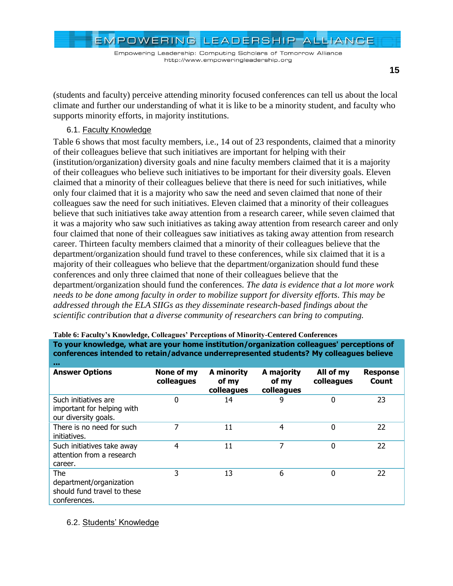EMPOWERING LEADERSHIP ALLIANCE

**15**

(students and faculty) perceive attending minority focused conferences can tell us about the local climate and further our understanding of what it is like to be a minority student, and faculty who supports minority efforts, in majority institutions.

### 6.1. Faculty Knowledge

[Table 6](#page-14-0) shows that most faculty members, i.e., 14 out of 23 respondents, claimed that a minority of their colleagues believe that such initiatives are important for helping with their (institution/organization) diversity goals and nine faculty members claimed that it is a majority of their colleagues who believe such initiatives to be important for their diversity goals. Eleven claimed that a minority of their colleagues believe that there is need for such initiatives, while only four claimed that it is a majority who saw the need and seven claimed that none of their colleagues saw the need for such initiatives. Eleven claimed that a minority of their colleagues believe that such initiatives take away attention from a research career, while seven claimed that it was a majority who saw such initiatives as taking away attention from research career and only four claimed that none of their colleagues saw initiatives as taking away attention from research career. Thirteen faculty members claimed that a minority of their colleagues believe that the department/organization should fund travel to these conferences, while six claimed that it is a majority of their colleagues who believe that the department/organization should fund these conferences and only three claimed that none of their colleagues believe that the department/organization should fund the conferences. *The data is evidence that a lot more work needs to be done among faculty in order to mobilize support for diversity efforts. This may be addressed through the ELA SIIGs as they disseminate research-based findings about the scientific contribution that a diverse community of researchers can bring to computing.*

| <b>A 8 8</b>                                                                  |                          |                                   |                                   |                         |                          |
|-------------------------------------------------------------------------------|--------------------------|-----------------------------------|-----------------------------------|-------------------------|--------------------------|
| <b>Answer Options</b>                                                         | None of my<br>colleagues | A minority<br>of my<br>colleagues | A majority<br>of my<br>colleagues | All of my<br>colleagues | <b>Response</b><br>Count |
| Such initiatives are<br>important for helping with<br>our diversity goals.    | 0                        | 14                                | 9                                 | $\Omega$                | 23                       |
| There is no need for such<br>initiatives.                                     | 7                        | 11                                | 4                                 | $\Omega$                | 22                       |
| Such initiatives take away<br>attention from a research<br>career.            | 4                        | 11                                | 7                                 | $\Omega$                | 22                       |
| The<br>department/organization<br>should fund travel to these<br>conferences. | 3                        | 13                                | 6                                 | $\Omega$                | 22                       |

**To your knowledge, what are your home institution/organization colleagues' perceptions of conferences intended to retain/advance underrepresented students? My colleagues believe** 

<span id="page-14-0"></span>**Table 6: Faculty's Knowledge, Colleagues' Perceptions of Minority-Centered Conferences**

6.2. Students' Knowledge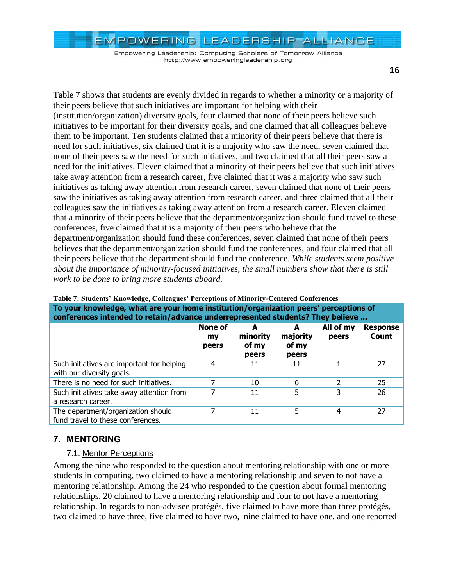Empowering Leadership: Computing Scholars of Tomorrow Alliance http://www.empoweringleadership.org

[Table 7](#page-15-0) shows that students are evenly divided in regards to whether a minority or a majority of their peers believe that such initiatives are important for helping with their (institution/organization) diversity goals, four claimed that none of their peers believe such

initiatives to be important for their diversity goals, and one claimed that all colleagues believe them to be important. Ten students claimed that a minority of their peers believe that there is need for such initiatives, six claimed that it is a majority who saw the need, seven claimed that none of their peers saw the need for such initiatives, and two claimed that all their peers saw a need for the initiatives. Eleven claimed that a minority of their peers believe that such initiatives take away attention from a research career, five claimed that it was a majority who saw such initiatives as taking away attention from research career, seven claimed that none of their peers saw the initiatives as taking away attention from research career, and three claimed that all their colleagues saw the initiatives as taking away attention from a research career. Eleven claimed that a minority of their peers believe that the department/organization should fund travel to these conferences, five claimed that it is a majority of their peers who believe that the department/organization should fund these conferences, seven claimed that none of their peers believes that the department/organization should fund the conferences, and four claimed that all their peers believe that the department should fund the conference. *While students seem positive about the importance of minority-focused initiatives, the small numbers show that there is still work to be done to bring more students aboard.*

| To your knowledge, what are your nome institution/organization peers "perceptions of<br>conferences intended to retain/advance underrepresented students? They believe |                               |                                 |                                 |                    |                          |
|------------------------------------------------------------------------------------------------------------------------------------------------------------------------|-------------------------------|---------------------------------|---------------------------------|--------------------|--------------------------|
|                                                                                                                                                                        | <b>None of</b><br>my<br>peers | A<br>minority<br>of my<br>peers | A<br>majority<br>of my<br>peers | All of my<br>peers | <b>Response</b><br>Count |
| Such initiatives are important for helping<br>with our diversity goals.                                                                                                | 4                             | 11                              | 11                              |                    | 27                       |
| There is no need for such initiatives.                                                                                                                                 | 7                             | 10                              | 6                               |                    | 25                       |
| Such initiatives take away attention from<br>a research career.                                                                                                        |                               | 11                              | 5                               |                    | 26                       |
| The department/organization should<br>fund travel to these conferences.                                                                                                |                               | 11                              | 5                               | 4                  | 27                       |

<span id="page-15-0"></span>

| Table 7: Students' Knowledge, Colleagues' Perceptions of Minority-Centered Conferences |
|----------------------------------------------------------------------------------------|
| To your knowledge, what are your home institution/organization peers' perceptions of   |
| conferences intended to retain/advance underropresented students? They holieve         |

## **7. MENTORING**

### 7.1. Mentor Perceptions

Among the nine who responded to the question about mentoring relationship with one or more students in computing, two claimed to have a mentoring relationship and seven to not have a mentoring relationship. Among the 24 who responded to the question about formal mentoring relationships, 20 claimed to have a mentoring relationship and four to not have a mentoring relationship. In regards to non-advisee protégés, five claimed to have more than three protégés, two claimed to have three, five claimed to have two, nine claimed to have one, and one reported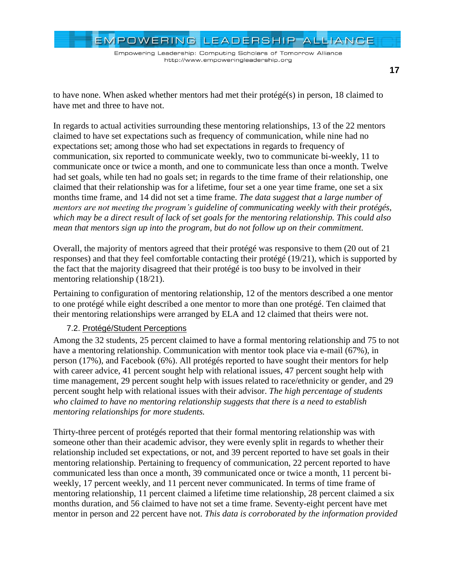EMPOWERING LEADERSHIP ALLIANCE

to have none. When asked whether mentors had met their protégé(s) in person, 18 claimed to have met and three to have not.

In regards to actual activities surrounding these mentoring relationships, 13 of the 22 mentors claimed to have set expectations such as frequency of communication, while nine had no expectations set; among those who had set expectations in regards to frequency of communication, six reported to communicate weekly, two to communicate bi-weekly, 11 to communicate once or twice a month, and one to communicate less than once a month. Twelve had set goals, while ten had no goals set; in regards to the time frame of their relationship, one claimed that their relationship was for a lifetime, four set a one year time frame, one set a six months time frame, and 14 did not set a time frame. *The data suggest that a large number of mentors are not meeting the program's guideline of communicating weekly with their protégés, which may be a direct result of lack of set goals for the mentoring relationship. This could also mean that mentors sign up into the program, but do not follow up on their commitment.*

Overall, the majority of mentors agreed that their protégé was responsive to them (20 out of 21 responses) and that they feel comfortable contacting their protégé (19/21), which is supported by the fact that the majority disagreed that their protégé is too busy to be involved in their mentoring relationship (18/21).

Pertaining to configuration of mentoring relationship, 12 of the mentors described a one mentor to one protégé while eight described a one mentor to more than one protégé. Ten claimed that their mentoring relationships were arranged by ELA and 12 claimed that theirs were not.

### 7.2. Protégé/Student Perceptions

Among the 32 students, 25 percent claimed to have a formal mentoring relationship and 75 to not have a mentoring relationship. Communication with mentor took place via e-mail (67%), in person (17%), and Facebook (6%). All protégés reported to have sought their mentors for help with career advice, 41 percent sought help with relational issues, 47 percent sought help with time management, 29 percent sought help with issues related to race/ethnicity or gender, and 29 percent sought help with relational issues with their advisor. *The high percentage of students who claimed to have no mentoring relationship suggests that there is a need to establish mentoring relationships for more students.*

Thirty-three percent of protégés reported that their formal mentoring relationship was with someone other than their academic advisor, they were evenly split in regards to whether their relationship included set expectations, or not, and 39 percent reported to have set goals in their mentoring relationship. Pertaining to frequency of communication, 22 percent reported to have communicated less than once a month, 39 communicated once or twice a month, 11 percent biweekly, 17 percent weekly, and 11 percent never communicated. In terms of time frame of mentoring relationship, 11 percent claimed a lifetime time relationship, 28 percent claimed a six months duration, and 56 claimed to have not set a time frame. Seventy-eight percent have met mentor in person and 22 percent have not. *This data is corroborated by the information provided*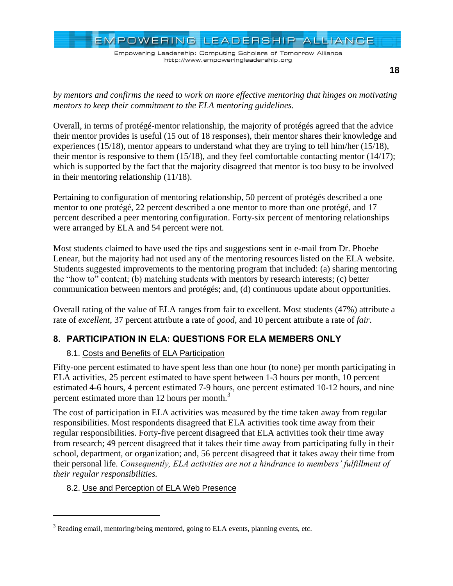Empowering Leadership: Computing Scholars of Tomorrow Alliance http://www.empoweringleadership.org

*by mentors and confirms the need to work on more effective mentoring that hinges on motivating mentors to keep their commitment to the ELA mentoring guidelines.*

Overall, in terms of protégé-mentor relationship, the majority of protégés agreed that the advice their mentor provides is useful (15 out of 18 responses), their mentor shares their knowledge and experiences (15/18), mentor appears to understand what they are trying to tell him/her (15/18), their mentor is responsive to them (15/18), and they feel comfortable contacting mentor (14/17); which is supported by the fact that the majority disagreed that mentor is too busy to be involved in their mentoring relationship (11/18).

Pertaining to configuration of mentoring relationship, 50 percent of protégés described a one mentor to one protégé, 22 percent described a one mentor to more than one protégé, and 17 percent described a peer mentoring configuration. Forty-six percent of mentoring relationships were arranged by ELA and 54 percent were not.

Most students claimed to have used the tips and suggestions sent in e-mail from Dr. Phoebe Lenear, but the majority had not used any of the mentoring resources listed on the ELA website. Students suggested improvements to the mentoring program that included: (a) sharing mentoring the "how to" content; (b) matching students with mentors by research interests; (c) better communication between mentors and protégés; and, (d) continuous update about opportunities.

Overall rating of the value of ELA ranges from fair to excellent. Most students (47%) attribute a rate of *excellent*, 37 percent attribute a rate of *good*, and 10 percent attribute a rate of *fair*.

# **8. PARTICIPATION IN ELA: QUESTIONS FOR ELA MEMBERS ONLY**

## 8.1. Costs and Benefits of ELA Participation

Fifty-one percent estimated to have spent less than one hour (to none) per month participating in ELA activities, 25 percent estimated to have spent between 1-3 hours per month, 10 percent estimated 4-6 hours, 4 percent estimated 7-9 hours, one percent estimated 10-12 hours, and nine percent estimated more than 12 hours per month.<sup>3</sup>

The cost of participation in ELA activities was measured by the time taken away from regular responsibilities. Most respondents disagreed that ELA activities took time away from their regular responsibilities. Forty-five percent disagreed that ELA activities took their time away from research; 49 percent disagreed that it takes their time away from participating fully in their school, department, or organization; and, 56 percent disagreed that it takes away their time from their personal life. *Consequently, ELA activities are not a hindrance to members' fulfillment of their regular responsibilities.*

## 8.2. Use and Perception of ELA Web Presence

 $\overline{a}$ 

<sup>&</sup>lt;sup>3</sup> Reading email, mentoring/being mentored, going to ELA events, planning events, etc.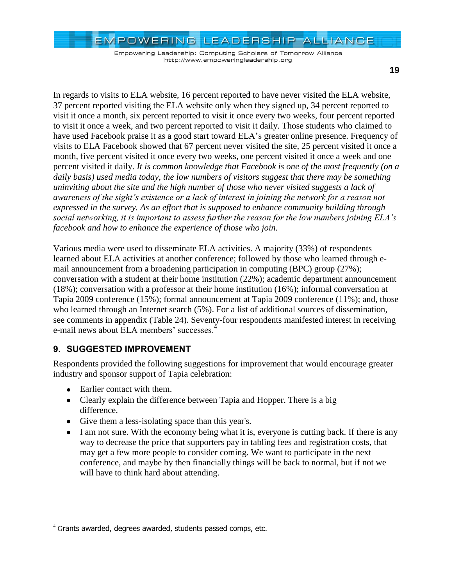Empowering Leadership: Computing Scholars of Tomorrow Alliance http://www.empoweringleadership.org

**19**

In regards to visits to ELA website, 16 percent reported to have never visited the ELA website, 37 percent reported visiting the ELA website only when they signed up, 34 percent reported to visit it once a month, six percent reported to visit it once every two weeks, four percent reported to visit it once a week, and two percent reported to visit it daily. Those students who claimed to have used Facebook praise it as a good start toward ELA's greater online presence. Frequency of visits to ELA Facebook showed that 67 percent never visited the site, 25 percent visited it once a month, five percent visited it once every two weeks, one percent visited it once a week and one percent visited it daily. *It is common knowledge that Facebook is one of the most frequently (on a daily basis) used media today, the low numbers of visitors suggest that there may be something uninviting about the site and the high number of those who never visited suggests a lack of awareness of the sight's existence or a lack of interest in joining the network for a reason not expressed in the survey. As an effort that is supposed to enhance community building through social networking, it is important to assess further the reason for the low numbers joining ELA's facebook and how to enhance the experience of those who join.*

Various media were used to disseminate ELA activities. A majority (33%) of respondents learned about ELA activities at another conference; followed by those who learned through email announcement from a broadening participation in computing (BPC) group (27%); conversation with a student at their home institution (22%); academic department announcement (18%); conversation with a professor at their home institution (16%); informal conversation at Tapia 2009 conference (15%); formal announcement at Tapia 2009 conference (11%); and, those who learned through an Internet search (5%). For a list of additional sources of dissemination, see comments in appendix [\(Table 24\)](#page-28-0). Seventy-four respondents manifested interest in receiving e-mail news about ELA members' successes.<sup>4</sup>

# **9. SUGGESTED IMPROVEMENT**

Respondents provided the following suggestions for improvement that would encourage greater industry and sponsor support of Tapia celebration:

• Earlier contact with them.

 $\overline{a}$ 

- Clearly explain the difference between Tapia and Hopper. There is a big difference.
- Give them a less-isolating space than this year's.
- I am not sure. With the economy being what it is, everyone is cutting back. If there is any way to decrease the price that supporters pay in tabling fees and registration costs, that may get a few more people to consider coming. We want to participate in the next conference, and maybe by then financially things will be back to normal, but if not we will have to think hard about attending.

 $4$  Grants awarded, degrees awarded, students passed comps, etc.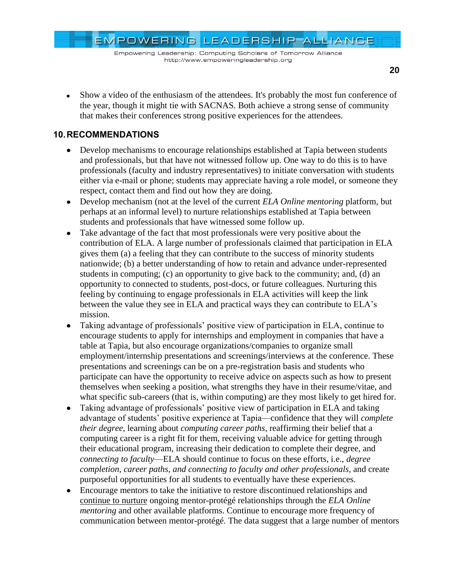Empowering Leadership: Computing Scholars of Tomorrow Alliance http://www.empoweringleadership.org

Show a video of the enthusiasm of the attendees. It's probably the most fun conference of the year, though it might tie with SACNAS. Both achieve a strong sense of community that makes their conferences strong positive experiences for the attendees.

# **10.RECOMMENDATIONS**

- Develop mechanisms to encourage relationships established at Tapia between students and professionals, but that have not witnessed follow up. One way to do this is to have professionals (faculty and industry representatives) to initiate conversation with students either via e-mail or phone; students may appreciate having a role model, or someone they respect, contact them and find out how they are doing.
- Develop mechanism (not at the level of the current *ELA Online mentoring* platform, but  $\bullet$ perhaps at an informal level) to nurture relationships established at Tapia between students and professionals that have witnessed some follow up.
- Take advantage of the fact that most professionals were very positive about the  $\bullet$ contribution of ELA. A large number of professionals claimed that participation in ELA gives them (a) a feeling that they can contribute to the success of minority students nationwide; (b) a better understanding of how to retain and advance under-represented students in computing; (c) an opportunity to give back to the community; and, (d) an opportunity to connected to students, post-docs, or future colleagues. Nurturing this feeling by continuing to engage professionals in ELA activities will keep the link between the value they see in ELA and practical ways they can contribute to ELA"s mission.
- Taking advantage of professionals" positive view of participation in ELA, continue to encourage students to apply for internships and employment in companies that have a table at Tapia, but also encourage organizations/companies to organize small employment/internship presentations and screenings/interviews at the conference. These presentations and screenings can be on a pre-registration basis and students who participate can have the opportunity to receive advice on aspects such as how to present themselves when seeking a position, what strengths they have in their resume/vitae, and what specific sub-careers (that is, within computing) are they most likely to get hired for.
- Taking advantage of professionals" positive view of participation in ELA and taking advantage of students" positive experience at Tapia—confidence that they will *complete their degree*, learning about *computing career paths*, reaffirming their belief that a computing career is a right fit for them, receiving valuable advice for getting through their educational program, increasing their dedication to complete their degree, and *connecting to faculty*—ELA should continue to focus on these efforts, i.e., *degree completion, career paths, and connecting to faculty and other professionals*, and create purposeful opportunities for all students to eventually have these experiences.
- Encourage mentors to take the initiative to restore discontinued relationships and continue to nurture ongoing mentor-protégé relationships through the *ELA Online mentoring* and other available platforms. Continue to encourage more frequency of communication between mentor-protégé. The data suggest that a large number of mentors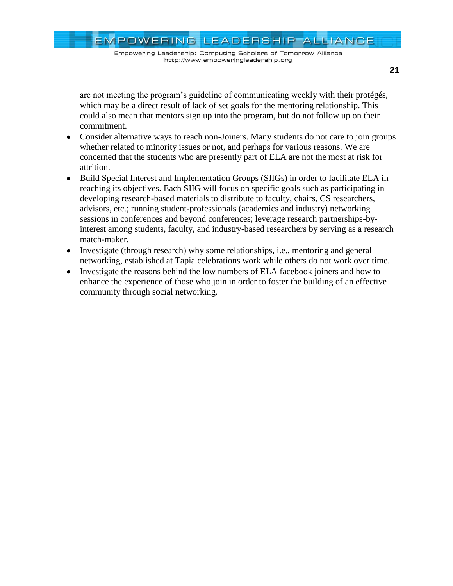EMPOWERING LEADERSHIP ALLIANCE Empowering Leadership: Computing Scholars of Tomorrow Alliance http://www.empoweringleadership.org

are not meeting the program"s guideline of communicating weekly with their protégés, which may be a direct result of lack of set goals for the mentoring relationship. This could also mean that mentors sign up into the program, but do not follow up on their commitment.

- Consider alternative ways to reach non-Joiners. Many students do not care to join groups whether related to minority issues or not, and perhaps for various reasons. We are concerned that the students who are presently part of ELA are not the most at risk for attrition.
- Build Special Interest and Implementation Groups (SIIGs) in order to facilitate ELA in  $\bullet$ reaching its objectives. Each SIIG will focus on specific goals such as participating in developing research-based materials to distribute to faculty, chairs, CS researchers, advisors, etc.; running student-professionals (academics and industry) networking sessions in conferences and beyond conferences; leverage research partnerships-byinterest among students, faculty, and industry-based researchers by serving as a research match-maker.
- Investigate (through research) why some relationships, i.e., mentoring and general networking, established at Tapia celebrations work while others do not work over time.
- Investigate the reasons behind the low numbers of ELA facebook joiners and how to enhance the experience of those who join in order to foster the building of an effective community through social networking.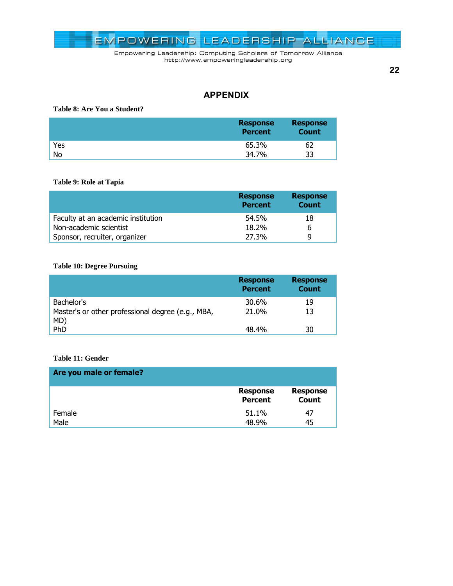

**22**

## **APPENDIX**

### **Table 8: Are You a Student?**

|     | <b>Response</b><br><b>Percent</b> | <b>Response</b><br><b>Count</b> |
|-----|-----------------------------------|---------------------------------|
| Yes | 65.3%                             | 62                              |
| No  | 34.7%                             | 33                              |

<span id="page-21-0"></span>**Table 9: Role at Tapia**

|                                    | <b>Response</b><br><b>Percent</b> | <b>Response</b><br><b>Count</b> |
|------------------------------------|-----------------------------------|---------------------------------|
| Faculty at an academic institution | 54.5%                             | 18                              |
| Non-academic scientist             | 18.2%                             | 6                               |
| Sponsor, recruiter, organizer      | 27.3%                             | q                               |

### <span id="page-21-1"></span>**Table 10: Degree Pursuing**

|                                                          | <b>Response</b><br><b>Percent</b> | <b>Response</b><br><b>Count</b> |
|----------------------------------------------------------|-----------------------------------|---------------------------------|
| Bachelor's                                               | 30.6%                             | 19                              |
| Master's or other professional degree (e.g., MBA,<br>MD) | 21.0%                             | 13                              |
| PhD                                                      | 48.4%                             | 30                              |

### <span id="page-21-2"></span>**Table 11: Gender**

| Are you male or female? |                                   |                                 |
|-------------------------|-----------------------------------|---------------------------------|
|                         | <b>Response</b><br><b>Percent</b> | <b>Response</b><br><b>Count</b> |
| Female                  | 51.1%                             | 47                              |
| Male                    | 48.9%                             | 45                              |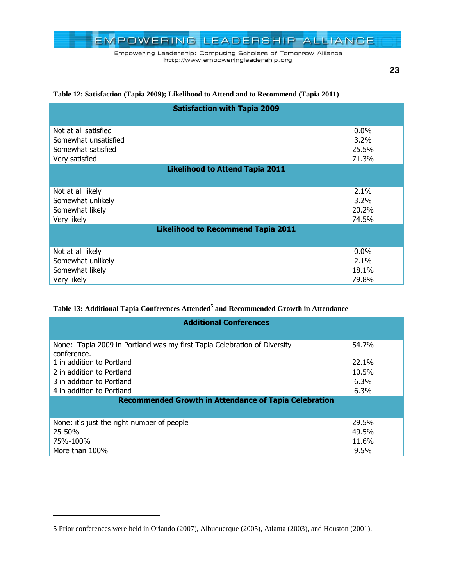

**23**

### <span id="page-22-0"></span>**Table 12: Satisfaction (Tapia 2009); Likelihood to Attend and to Recommend (Tapia 2011)**

| <b>Satisfaction with Tapia 2009</b>       |         |  |  |  |  |
|-------------------------------------------|---------|--|--|--|--|
| Not at all satisfied                      | $0.0\%$ |  |  |  |  |
| Somewhat unsatisfied                      | $3.2\%$ |  |  |  |  |
| Somewhat satisfied                        | 25.5%   |  |  |  |  |
| Very satisfied                            | 71.3%   |  |  |  |  |
| <b>Likelihood to Attend Tapia 2011</b>    |         |  |  |  |  |
| Not at all likely                         | $2.1\%$ |  |  |  |  |
| Somewhat unlikely                         | 3.2%    |  |  |  |  |
| Somewhat likely                           | 20.2%   |  |  |  |  |
| Very likely                               | 74.5%   |  |  |  |  |
| <b>Likelihood to Recommend Tapia 2011</b> |         |  |  |  |  |
| Not at all likely                         | $0.0\%$ |  |  |  |  |
| Somewhat unlikely                         | $2.1\%$ |  |  |  |  |
| Somewhat likely                           | 18.1%   |  |  |  |  |
| Very likely                               | 79.8%   |  |  |  |  |

### <span id="page-22-1"></span>**Table 13: Additional Tapia Conferences Attended<sup>5</sup> and Recommended Growth in Attendance**

| <b>Additional Conferences</b>                                                           |         |  |  |  |  |
|-----------------------------------------------------------------------------------------|---------|--|--|--|--|
| None: Tapia 2009 in Portland was my first Tapia Celebration of Diversity<br>conference. | 54.7%   |  |  |  |  |
| 1 in addition to Portland                                                               | 22.1%   |  |  |  |  |
| 2 in addition to Portland                                                               | 10.5%   |  |  |  |  |
| 3 in addition to Portland                                                               | $6.3\%$ |  |  |  |  |
| 4 in addition to Portland                                                               | 6.3%    |  |  |  |  |
| <b>Recommended Growth in Attendance of Tapia Celebration</b>                            |         |  |  |  |  |
|                                                                                         |         |  |  |  |  |
| None: it's just the right number of people                                              | 29.5%   |  |  |  |  |
| 25-50%                                                                                  | 49.5%   |  |  |  |  |
| 75%-100%                                                                                | 11.6%   |  |  |  |  |
| More than 100%                                                                          | 9.5%    |  |  |  |  |

 $\overline{a}$ 

<sup>5</sup> Prior conferences were held in Orlando (2007), Albuquerque (2005), Atlanta (2003), and Houston (2001).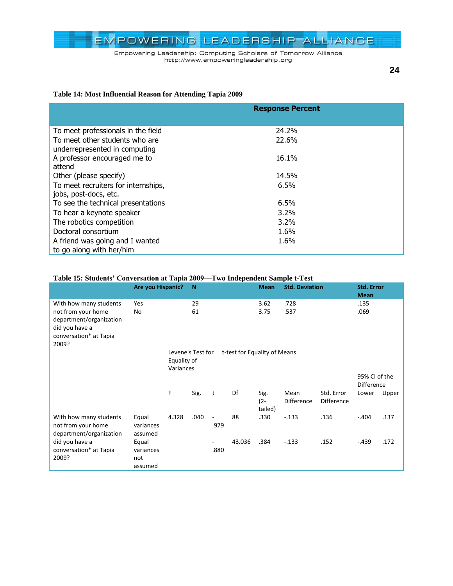Empowering Leadership: Computing Scholars of Tomorrow Alliance http://www.empoweringleadership.org

**24**

### <span id="page-23-0"></span>**Table 14: Most Influential Reason for Attending Tapia 2009**

|                                     | <b>Response Percent</b> |  |  |  |
|-------------------------------------|-------------------------|--|--|--|
|                                     |                         |  |  |  |
| To meet professionals in the field  | 24.2%                   |  |  |  |
| To meet other students who are      | 22.6%                   |  |  |  |
| underrepresented in computing       |                         |  |  |  |
| A professor encouraged me to        | 16.1%                   |  |  |  |
| attend                              |                         |  |  |  |
| Other (please specify)              | 14.5%                   |  |  |  |
| To meet recruiters for internships, | 6.5%                    |  |  |  |
| jobs, post-docs, etc.               |                         |  |  |  |
| To see the technical presentations  | 6.5%                    |  |  |  |
| To hear a keynote speaker           | $3.2\%$                 |  |  |  |
| The robotics competition            | $3.2\%$                 |  |  |  |
| Doctoral consortium                 | 1.6%                    |  |  |  |
| A friend was going and I wanted     | 1.6%                    |  |  |  |
| to go along with her/him            |                         |  |  |  |

### <span id="page-23-1"></span>**Table 15: Students' Conversation at Tapia 2009—Two Independent Sample t-Test**

|                                                                                                    | Are you Hispanic?    |                   | N    |      |                              | <b>Mean</b>               | <b>Std. Deviation</b> |                                 | <b>Std. Error</b><br><b>Mean</b>   |       |
|----------------------------------------------------------------------------------------------------|----------------------|-------------------|------|------|------------------------------|---------------------------|-----------------------|---------------------------------|------------------------------------|-------|
| With how many students                                                                             | Yes                  |                   | 29   |      |                              | 3.62                      | .728                  |                                 | .135                               |       |
| not from your home<br>department/organization<br>did you have a<br>conversation* at Tapia<br>2009? | No                   |                   | 61   |      |                              | 3.75                      | .537                  |                                 | .069                               |       |
|                                                                                                    |                      | Levene's Test for |      |      | t-test for Equality of Means |                           |                       |                                 |                                    |       |
|                                                                                                    |                      | Equality of       |      |      |                              |                           |                       |                                 |                                    |       |
|                                                                                                    |                      | Variances         |      |      |                              |                           |                       |                                 |                                    |       |
|                                                                                                    |                      |                   |      |      |                              |                           |                       |                                 | 95% CI of the<br><b>Difference</b> |       |
|                                                                                                    |                      | F                 | Sig. | t    | Df                           | Sig.<br>$(2 -$<br>tailed) | Mean<br>Difference    | Std. Error<br><b>Difference</b> | Lower                              | Upper |
| With how many students                                                                             | Equal                | 4.328             | .040 |      | 88                           | .330                      | $-.133$               | .136                            | $-.404$                            | .137  |
| not from your home<br>department/organization                                                      | variances<br>assumed |                   |      | .979 |                              |                           |                       |                                 |                                    |       |
| did you have a                                                                                     | Equal                |                   |      | -    | 43.036                       | .384                      | $-.133$               | .152                            | $-.439$                            | .172  |
| conversation* at Tapia                                                                             | variances            |                   |      | .880 |                              |                           |                       |                                 |                                    |       |
| 2009?                                                                                              | not                  |                   |      |      |                              |                           |                       |                                 |                                    |       |
|                                                                                                    | assumed              |                   |      |      |                              |                           |                       |                                 |                                    |       |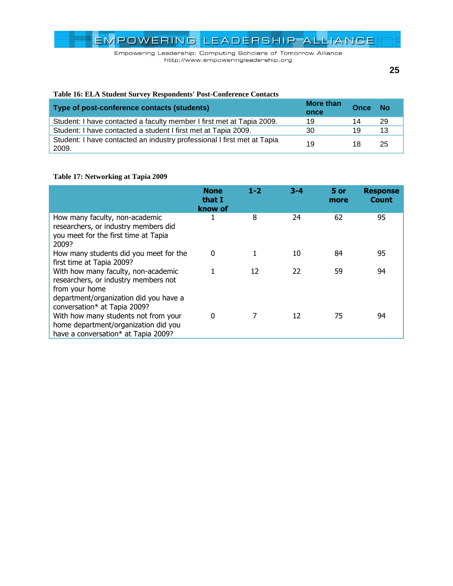Empowering Leadership: Computing Scholars of Tomorrow Alliance http://www.empoweringleadership.org

# <span id="page-24-0"></span>**Table 16: ELA Student Survey Respondents' Post-Conference Contacts**

| Type of post-conference contacts (students)                                      | <b>More than</b><br>once | Once | - No |
|----------------------------------------------------------------------------------|--------------------------|------|------|
| Student: I have contacted a faculty member I first met at Tapia 2009.            | 19                       | 14   | -29  |
| Student: I have contacted a student I first met at Tapia 2009.                   | 30                       | 19   | 13   |
| Student: I have contacted an industry professional I first met at Tapia<br>2009. | 19                       | 18   | 25   |

### <span id="page-24-1"></span>**Table 17: Networking at Tapia 2009**

|                                                                                                                                                                         | <b>None</b><br>that I<br>know of | $1 - 2$ | $3 - 4$ | 5 or<br>more | <b>Response</b><br><b>Count</b> |
|-------------------------------------------------------------------------------------------------------------------------------------------------------------------------|----------------------------------|---------|---------|--------------|---------------------------------|
| How many faculty, non-academic<br>researchers, or industry members did<br>you meet for the first time at Tapia<br>2009?                                                 | 1                                | 8       | 24      | 62           | 95                              |
| How many students did you meet for the<br>first time at Tapia 2009?                                                                                                     | $\mathbf{0}$                     |         | 10      | 84           | 95                              |
| With how many faculty, non-academic<br>researchers, or industry members not<br>from your home<br>department/organization did you have a<br>conversation* at Tapia 2009? |                                  | 12      | 22      | 59           | 94                              |
| With how many students not from your<br>home department/organization did you<br>have a conversation* at Tapia 2009?                                                     | 0                                |         | 12      | 75           | 94                              |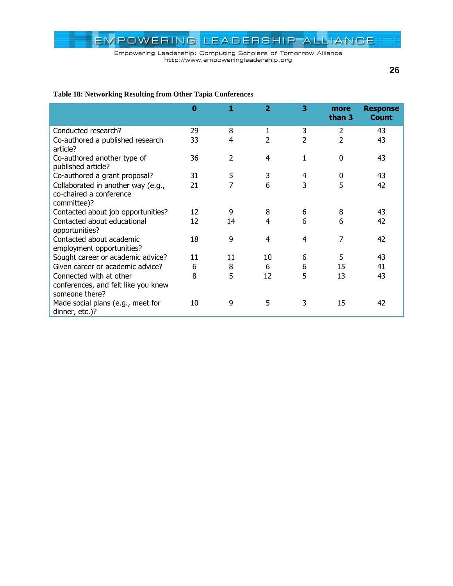Empowering Leadership: Computing Scholars of Tomorrow Alliance http://www.empoweringleadership.org

### <span id="page-25-0"></span>**Table 18: Networking Resulting from Other Tapia Conferences**

|                                                                                  | $\bf{0}$ | 1              | 2              | 3              | more<br>than 3 | <b>Response</b><br><b>Count</b> |
|----------------------------------------------------------------------------------|----------|----------------|----------------|----------------|----------------|---------------------------------|
| Conducted research?                                                              | 29       | 8              | 1              | 3              | 2              | 43                              |
| Co-authored a published research<br>article?                                     | 33       | 4              | 2              | $\overline{2}$ | $\overline{2}$ | 43                              |
| Co-authored another type of<br>published article?                                | 36       | $\overline{2}$ | 4              | 1              | 0              | 43                              |
| Co-authored a grant proposal?                                                    | 31       | 5              | 3              | 4              | 0              | 43                              |
| Collaborated in another way (e.g.,<br>co-chaired a conference<br>committee)?     | 21       | 7              | 6              | 3              | 5              | 42                              |
| Contacted about job opportunities?                                               | 12       | 9              | 8              | 6              | 8              | 43                              |
| Contacted about educational<br>opportunities?                                    | 12       | 14             | 4              | 6              | 6              | 42                              |
| Contacted about academic<br>employment opportunities?                            | 18       | 9              | $\overline{4}$ | 4              | 7              | 42                              |
| Sought career or academic advice?                                                | 11       | 11             | 10             | 6              | 5              | 43                              |
| Given career or academic advice?                                                 | 6        | 8              | 6              | 6              | 15             | 41                              |
| Connected with at other<br>conferences, and felt like you knew<br>someone there? | 8        | 5              | 12             | 5              | 13             | 43                              |
| Made social plans (e.g., meet for<br>dinner, etc.)?                              | 10       | 9              | 5              | 3              | 15             | 42                              |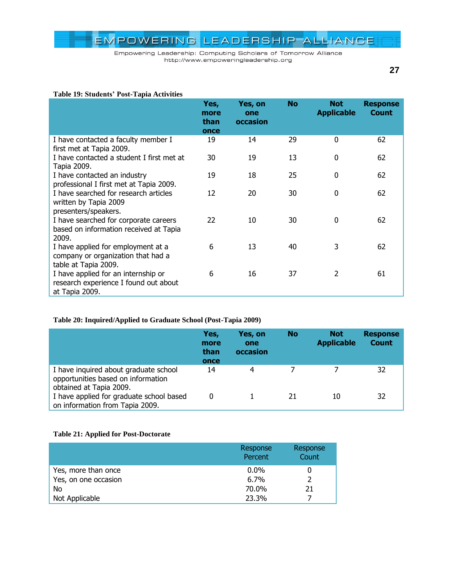Empowering Leadership: Computing Scholars of Tomorrow Alliance http://www.empoweringleadership.org

#### <span id="page-26-0"></span>**Table 19: Students' Post-Tapia Activities**

|                                                                                                  | Yes,<br>more<br>than<br>once | Yes, on<br>one<br>occasion | <b>No</b> | <b>Not</b><br><b>Applicable</b> | <b>Response</b><br><b>Count</b> |
|--------------------------------------------------------------------------------------------------|------------------------------|----------------------------|-----------|---------------------------------|---------------------------------|
| I have contacted a faculty member I<br>first met at Tapia 2009.                                  | 19                           | 14                         | 29        | $\boldsymbol{0}$                | 62                              |
| I have contacted a student I first met at<br>Tapia 2009.                                         | 30                           | 19                         | 13        | $\boldsymbol{0}$                | 62                              |
| I have contacted an industry<br>professional I first met at Tapia 2009.                          | 19                           | 18                         | 25        | $\mathbf 0$                     | 62                              |
| I have searched for research articles<br>written by Tapia 2009<br>presenters/speakers.           | 12                           | 20                         | 30        | 0                               | 62                              |
| I have searched for corporate careers<br>based on information received at Tapia<br>2009.         | 22                           | 10                         | 30        | $\mathbf 0$                     | 62                              |
| I have applied for employment at a<br>company or organization that had a<br>table at Tapia 2009. | 6                            | 13                         | 40        | 3                               | 62                              |
| I have applied for an internship or<br>research experience I found out about<br>at Tapia 2009.   | 6                            | 16                         | 37        | 2                               | 61                              |

### <span id="page-26-1"></span>**Table 20: Inquired/Applied to Graduate School (Post-Tapia 2009)**

|                                                                                                        | Yes,<br>more<br>than<br>once | Yes, on<br>one<br>occasion | <b>No</b> | <b>Not</b><br><b>Applicable</b> | <b>Response</b><br><b>Count</b> |
|--------------------------------------------------------------------------------------------------------|------------------------------|----------------------------|-----------|---------------------------------|---------------------------------|
| I have inquired about graduate school<br>opportunities based on information<br>obtained at Tapia 2009. | 14                           | 4                          |           |                                 | 32                              |
| I have applied for graduate school based<br>on information from Tapia 2009.                            | 0                            |                            | 21        | 10                              | 32                              |

### <span id="page-26-2"></span>**Table 21: Applied for Post-Doctorate**

|                      | Response<br>Percent | Response<br>Count |
|----------------------|---------------------|-------------------|
| Yes, more than once  | $0.0\%$             |                   |
| Yes, on one occasion | $6.7\%$             | 2                 |
| No                   | 70.0%               | 21                |
| Not Applicable       | 23.3%               |                   |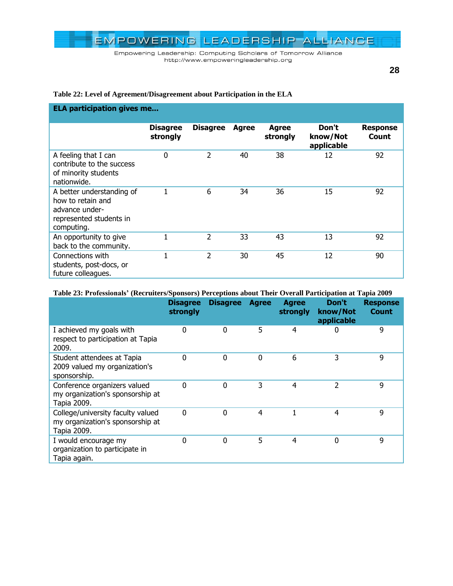Empowering Leadership: Computing Scholars of Tomorrow Alliance http://www.empoweringleadership.org

**28**

### <span id="page-27-0"></span>**Table 22: Level of Agreement/Disagreement about Participation in the ELA**

| <b>ELA participation gives me</b>                                                                         |                             |                 |              |                          |                                 |                          |  |  |  |
|-----------------------------------------------------------------------------------------------------------|-----------------------------|-----------------|--------------|--------------------------|---------------------------------|--------------------------|--|--|--|
|                                                                                                           | <b>Disagree</b><br>strongly | <b>Disagree</b> | <b>Agree</b> | <b>Agree</b><br>strongly | Don't<br>know/Not<br>applicable | <b>Response</b><br>Count |  |  |  |
| A feeling that I can<br>contribute to the success<br>of minority students<br>nationwide.                  | 0                           | $\overline{2}$  | 40           | 38                       | 12                              | 92                       |  |  |  |
| A better understanding of<br>how to retain and<br>advance under-<br>represented students in<br>computing. |                             | 6               | 34           | 36                       | 15                              | 92                       |  |  |  |
| An opportunity to give<br>back to the community.                                                          | 1                           | $\overline{2}$  | 33           | 43                       | 13                              | 92                       |  |  |  |
| Connections with<br>students, post-docs, or<br>future colleagues.                                         | $\mathbf{1}$                | $\overline{2}$  | 30           | 45                       | 12                              | 90                       |  |  |  |

#### <span id="page-27-1"></span>**Table 23: Professionals' (Recruiters/Sponsors) Perceptions about Their Overall Participation at Tapia 2009**

|                                                                                      | <b>Disagree</b><br>strongly | <b>Disagree</b> | <b>Agree</b> | <b>Agree</b><br>strongly | Don't<br>know/Not<br>applicable | <b>Response</b><br><b>Count</b> |
|--------------------------------------------------------------------------------------|-----------------------------|-----------------|--------------|--------------------------|---------------------------------|---------------------------------|
| I achieved my goals with<br>respect to participation at Tapia<br>2009.               | 0                           | $\Omega$        | 5            | 4                        | 0                               | 9                               |
| Student attendees at Tapia<br>2009 valued my organization's<br>sponsorship.          | $\Omega$                    | $\Omega$        | 0            | 6                        | 3                               | 9                               |
| Conference organizers valued<br>my organization's sponsorship at<br>Tapia 2009.      | 0                           | 0               | 3            | 4                        | 2                               | 9                               |
| College/university faculty valued<br>my organization's sponsorship at<br>Tapia 2009. | 0                           | 0               | 4            |                          | 4                               | 9                               |
| I would encourage my<br>organization to participate in<br>Tapia again.               | 0                           | 0               | 5            | 4                        | 0                               | 9                               |